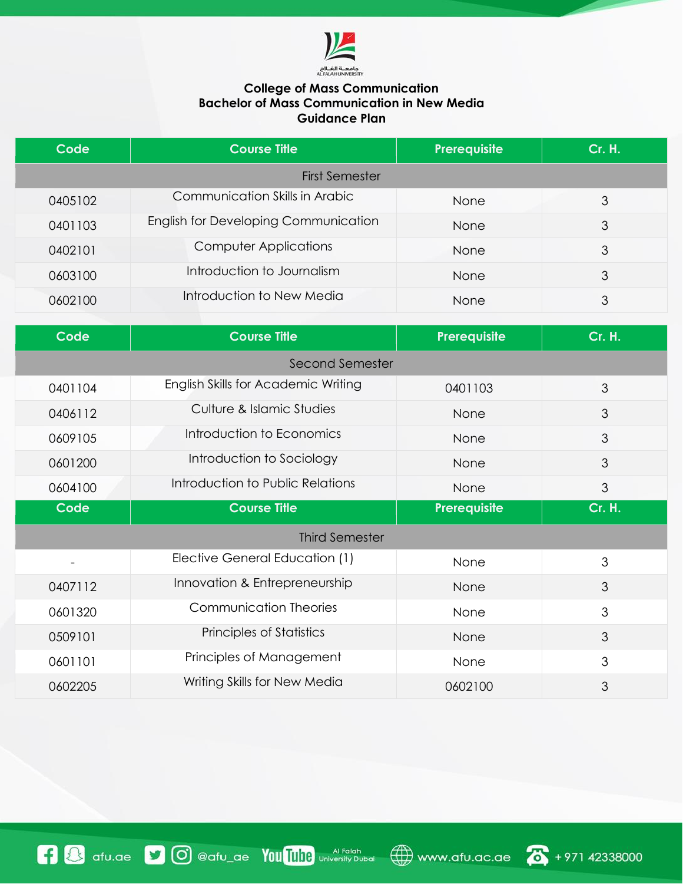

## **College of Mass Communication Bachelor of Mass Communication in New Media Guidance Plan**

| Code                  | <b>Course Title</b>                         | Prerequisite | <b>Cr. H.</b> |  |
|-----------------------|---------------------------------------------|--------------|---------------|--|
| <b>First Semester</b> |                                             |              |               |  |
| 0405102               | Communication Skills in Arabic              | <b>None</b>  | 3             |  |
| 0401103               | <b>English for Developing Communication</b> | <b>None</b>  | 3             |  |
| 0402101               | <b>Computer Applications</b>                | None         | 3             |  |
| 0603100               | Introduction to Journalism                  | None         | 3             |  |
| 0602100               | Introduction to New Media                   | <b>None</b>  | 3             |  |

| <b>Code</b>              | <b>Course Title</b>                 | Prerequisite | <b>Cr. H.</b> |  |
|--------------------------|-------------------------------------|--------------|---------------|--|
| Second Semester          |                                     |              |               |  |
| 0401104                  | English Skills for Academic Writing | 0401103      | 3             |  |
| 0406112                  | Culture & Islamic Studies           | None         | 3             |  |
| 0609105                  | Introduction to Economics           | None         | 3             |  |
| 0601200                  | Introduction to Sociology           | None         | 3             |  |
| 0604100                  | Introduction to Public Relations    | None         | 3             |  |
| <b>Code</b>              | <b>Course Title</b>                 | Prerequisite | <b>Cr. H.</b> |  |
| <b>Third Semester</b>    |                                     |              |               |  |
| $\overline{\phantom{a}}$ | Elective General Education (1)      | None         | 3             |  |
| 0407112                  | Innovation & Entrepreneurship       | None         | 3             |  |
| 0601320                  | <b>Communication Theories</b>       | None         | 3             |  |
| 0509101                  | <b>Principles of Statistics</b>     | None         | 3             |  |
| 0601101                  | Principles of Management            | None         | 3             |  |
| 0602205                  | Writing Skills for New Media        | 0602100      | 3             |  |

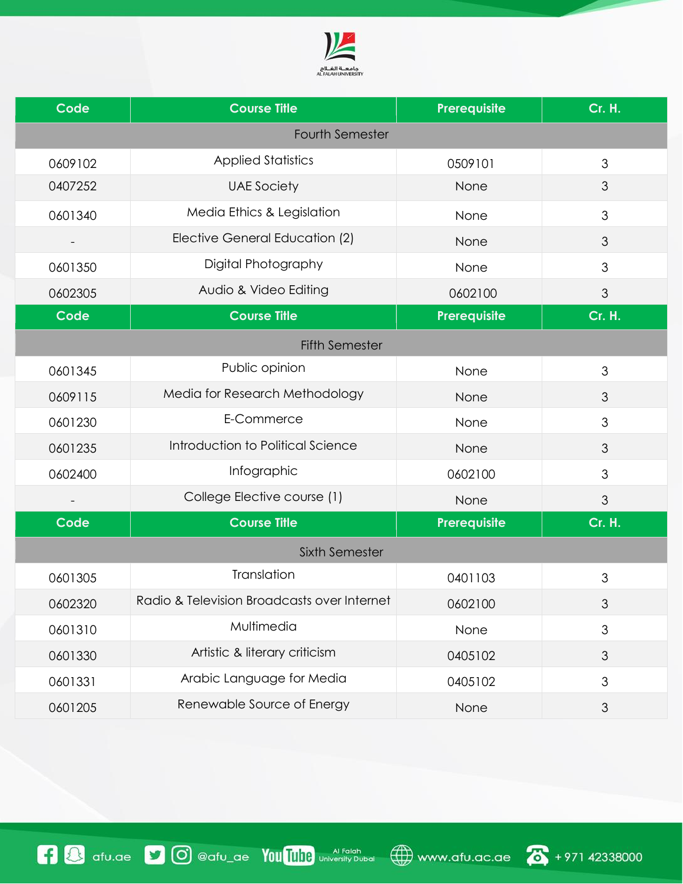

| <b>Code</b>           | <b>Course Title</b>                         | <b>Prerequisite</b> | <b>Cr. H.</b>  |  |  |
|-----------------------|---------------------------------------------|---------------------|----------------|--|--|
|                       | <b>Fourth Semester</b>                      |                     |                |  |  |
| 0609102               | <b>Applied Statistics</b>                   | 0509101             | 3              |  |  |
| 0407252               | <b>UAE Society</b>                          | None                | 3              |  |  |
| 0601340               | Media Ethics & Legislation                  | None                | 3              |  |  |
|                       | Elective General Education (2)              | None                | 3              |  |  |
| 0601350               | Digital Photography                         | None                | 3              |  |  |
| 0602305               | Audio & Video Editing                       | 0602100             | 3              |  |  |
| Code                  | <b>Course Title</b>                         | <b>Prerequisite</b> | <b>Cr. H.</b>  |  |  |
| <b>Fifth Semester</b> |                                             |                     |                |  |  |
| 0601345               | Public opinion                              | None                | 3              |  |  |
| 0609115               | Media for Research Methodology              | None                | 3              |  |  |
| 0601230               | E-Commerce                                  | None                | 3              |  |  |
| 0601235               | Introduction to Political Science           | None                | 3              |  |  |
| 0602400               | Infographic                                 | 0602100             | 3              |  |  |
|                       | College Elective course (1)                 | None                | 3              |  |  |
| Code                  | <b>Course Title</b>                         | Prerequisite        | <b>Cr. H.</b>  |  |  |
| <b>Sixth Semester</b> |                                             |                     |                |  |  |
| 0601305               | Translation                                 | 0401103             | 3              |  |  |
| 0602320               | Radio & Television Broadcasts over Internet | 0602100             | 3              |  |  |
| 0601310               | Multimedia                                  | None                | 3              |  |  |
| 0601330               | Artistic & literary criticism               | 0405102             | $\mathfrak{S}$ |  |  |
| 0601331               | Arabic Language for Media                   | 0405102             | 3              |  |  |
| 0601205               | Renewable Source of Energy                  | None                | $\mathfrak{S}$ |  |  |